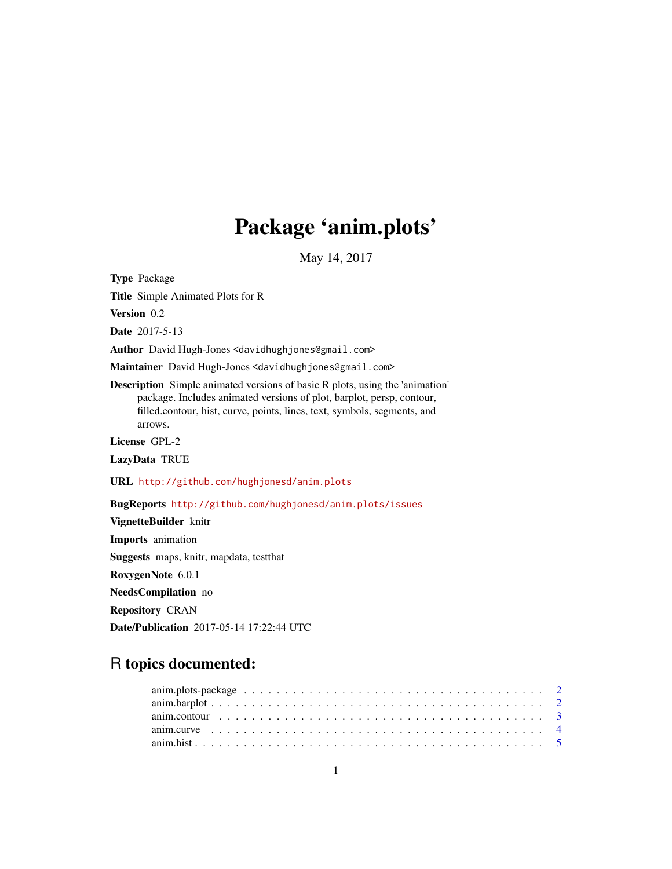# Package 'anim.plots'

May 14, 2017

<span id="page-0-0"></span>Type Package Title Simple Animated Plots for R Version 0.2 Date 2017-5-13 Author David Hugh-Jones <davidhughjones@gmail.com> Maintainer David Hugh-Jones <davidhughjones@gmail.com> Description Simple animated versions of basic R plots, using the 'animation' package. Includes animated versions of plot, barplot, persp, contour, filled.contour, hist, curve, points, lines, text, symbols, segments, and arrows. License GPL-2 LazyData TRUE URL <http://github.com/hughjonesd/anim.plots> BugReports <http://github.com/hughjonesd/anim.plots/issues> VignetteBuilder knitr Imports animation Suggests maps, knitr, mapdata, testthat RoxygenNote 6.0.1 NeedsCompilation no Repository CRAN Date/Publication 2017-05-14 17:22:44 UTC

# R topics documented: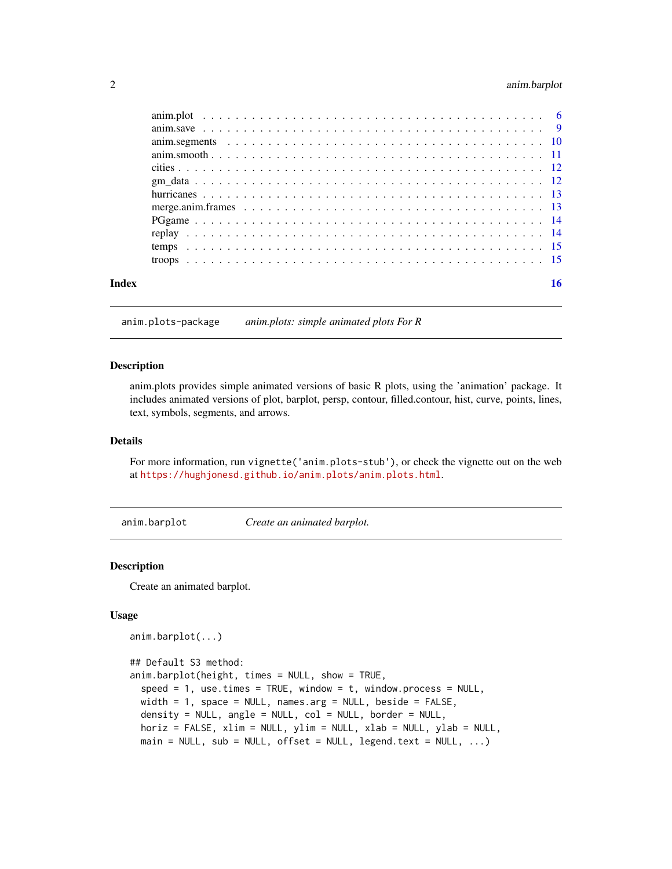# <span id="page-1-0"></span>2 anim.barplot

| Index | 16 |
|-------|----|

anim.plots-package *anim.plots: simple animated plots For R*

#### Description

anim.plots provides simple animated versions of basic R plots, using the 'animation' package. It includes animated versions of plot, barplot, persp, contour, filled.contour, hist, curve, points, lines, text, symbols, segments, and arrows.

#### Details

For more information, run vignette('anim.plots-stub'), or check the vignette out on the web at <https://hughjonesd.github.io/anim.plots/anim.plots.html>.

anim.barplot *Create an animated barplot.*

#### Description

Create an animated barplot.

```
anim.barplot(...)
```

```
## Default S3 method:
anim.barplot(height, times = NULL, show = TRUE,
  speed = 1, use.times = TRUE, window = t, window.process = NULL,
 width = 1, space = NULL, names.arg = NULL, beside = FALSE,
 density = NULL, angle = NULL, col = NULL, border = NULL,
 horiz = FALSE, xlim = NULL, ylim = NULL, xlab = NULL, ylab = NULL,
 main = NULL, sub = NULL, offset = NULL, legend.text = NULL, ...)
```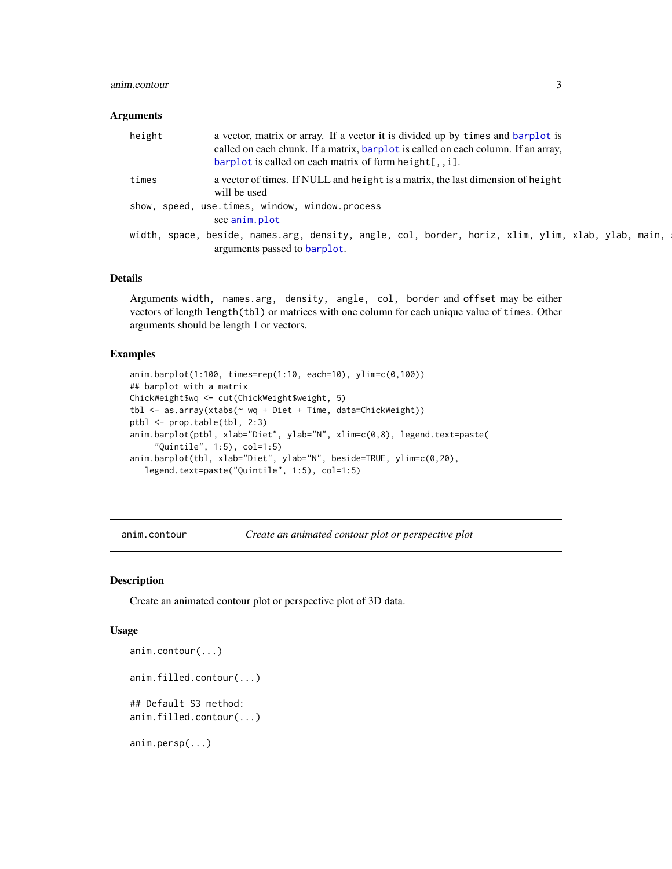#### <span id="page-2-0"></span>anim.contour 3

#### **Arguments**

| height | a vector, matrix or array. If a vector it is divided up by times and barplot is<br>called on each chunk. If a matrix, barplot is called on each column. If an array,<br>$barplot$ is called on each matrix of form height[,, $i$ ]. |
|--------|-------------------------------------------------------------------------------------------------------------------------------------------------------------------------------------------------------------------------------------|
| times  | a vector of times. If NULL and height is a matrix, the last dimension of height<br>will be used                                                                                                                                     |
|        | show, speed, use.times, window, window.process                                                                                                                                                                                      |
|        | see anim.plot                                                                                                                                                                                                                       |
|        | width, space, beside, names.arg, density, angle, col, border, horiz, xlim, ylim, xlab, ylab, main,                                                                                                                                  |
|        | arguments passed to barplot.                                                                                                                                                                                                        |

# Details

Arguments width, names.arg, density, angle, col, border and offset may be either vectors of length length(tbl) or matrices with one column for each unique value of times. Other arguments should be length 1 or vectors.

#### Examples

```
anim.barplot(1:100, times=rep(1:10, each=10), ylim=c(0,100))
## barplot with a matrix
ChickWeight$wq <- cut(ChickWeight$weight, 5)
tbl <- as.array(xtabs(~ wq + Diet + Time, data=ChickWeight))
ptbl <- prop.table(tbl, 2:3)
anim.barplot(ptbl, xlab="Diet", ylab="N", xlim=c(0,8), legend.text=paste(
     "Quintile", 1:5), col=1:5)
anim.barplot(tbl, xlab="Diet", ylab="N", beside=TRUE, ylim=c(0,20),
   legend.text=paste("Quintile", 1:5), col=1:5)
```
anim.contour *Create an animated contour plot or perspective plot*

#### Description

Create an animated contour plot or perspective plot of 3D data.

```
anim.contour(...)
anim.filled.contour(...)
## Default S3 method:
anim.filled.contour(...)
anim.persp(...)
```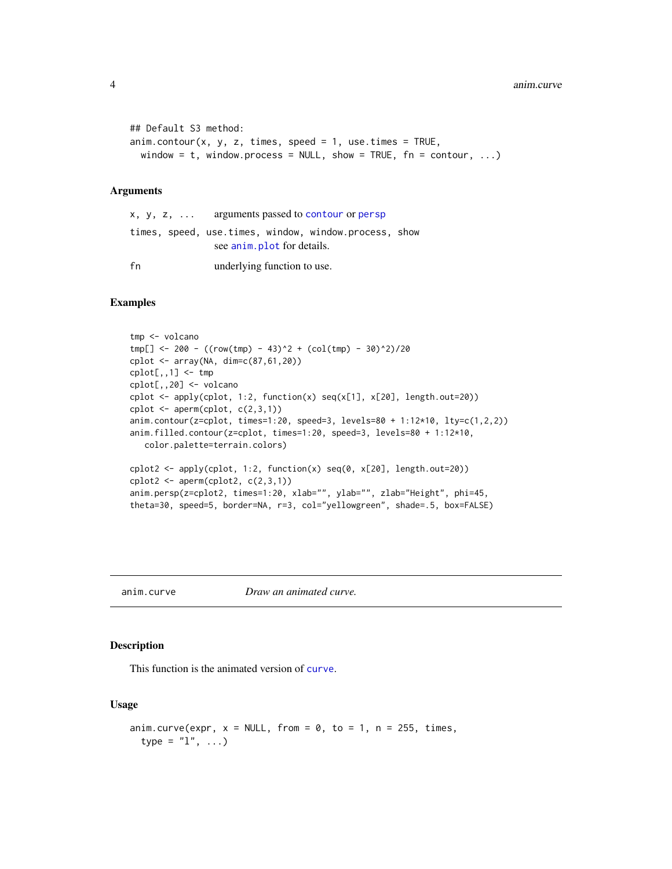```
## Default S3 method:
\text{anim.contour}(x, y, z, \text{times, speed} = 1, \text{use. times} = \text{TRUE},window = t, window.process = NULL, show = TRUE, fn = contour, ...
```
#### Arguments

|    | $x, y, z, \ldots$ arguments passed to contour or persp |
|----|--------------------------------------------------------|
|    | times, speed, use.times, window, window.process, show  |
|    | see anim. plot for details.                            |
| fn | underlying function to use.                            |

# Examples

```
tmp <- volcano
tmp[] <- 200 - ((row(tmp) - 43)^2 + (col(tmp) - 30)^2)/20
cplot <- array(NA, dim=c(87,61,20))
cplot[,,1] <- tmp
cplot[,,20] <- volcano
cplot \leq apply(cplot, 1:2, function(x) seq(x[1], x[20], length.out=20))
cplot <- aperm(cplot, c(2,3,1))
anim.contour(z=cplot, times=1:20, speed=3, levels=80 + 1:12*10, lty=c(1,2,2))
anim.filled.contour(z=cplot, times=1:20, speed=3, levels=80 + 1:12*10,
   color.palette=terrain.colors)
cplot2 <- apply(cplot, 1:2, function(x) seq(0, x[20], length.out=20))
\text{cplot2} \leftarrow \text{aperm}(\text{cplot2}, \text{c}(2,3,1))anim.persp(z=cplot2, times=1:20, xlab="", ylab="", zlab="Height", phi=45,
theta=30, speed=5, border=NA, r=3, col="yellowgreen", shade=.5, box=FALSE)
```
anim.curve *Draw an animated curve.*

# Description

This function is the animated version of [curve](#page-0-0).

```
anim.curve(expr, x = NULL, from = 0, to = 1, n = 255, times,
 type = "1", ...)
```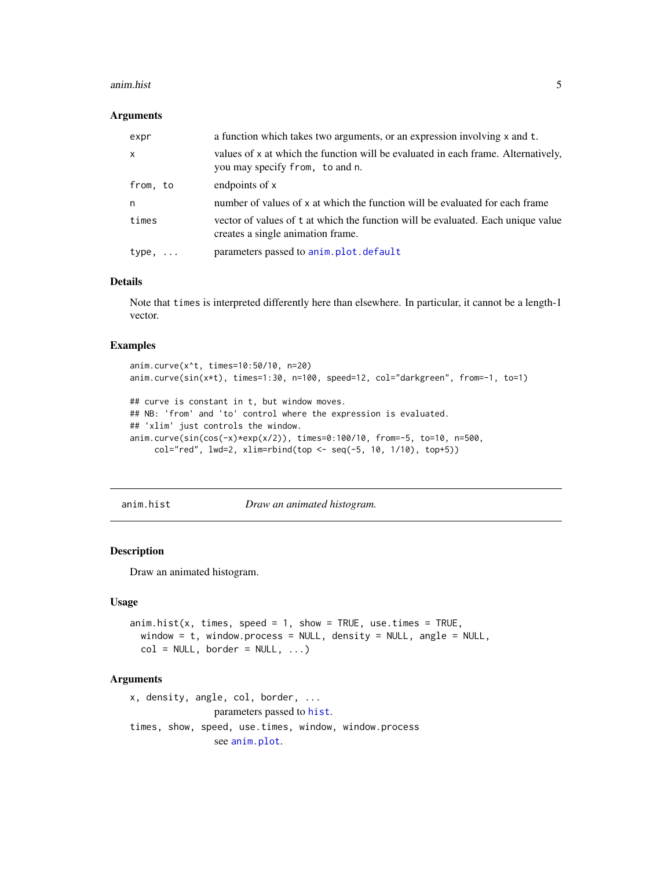#### <span id="page-4-0"></span>anim.hist 5

#### **Arguments**

| expr              | a function which takes two arguments, or an expression involving x and t.                                             |
|-------------------|-----------------------------------------------------------------------------------------------------------------------|
| X                 | values of x at which the function will be evaluated in each frame. Alternatively,<br>you may specify from, to and n.  |
| from, to          | endpoints of x                                                                                                        |
| n                 | number of values of x at which the function will be evaluated for each frame                                          |
| times             | vector of values of t at which the function will be evaluated. Each unique value<br>creates a single animation frame. |
| type,<br>$\cdots$ | parameters passed to anim.plot.default                                                                                |

#### Details

Note that times is interpreted differently here than elsewhere. In particular, it cannot be a length-1 vector.

# Examples

```
anim.curve(x^t, times=10:50/10, n=20)
anim.curve(sin(x*t), times=1:30, n=100, speed=12, col="darkgreen", from=-1, to=1)
## curve is constant in t, but window moves.
## NB: 'from' and 'to' control where the expression is evaluated.
## 'xlim' just controls the window.
anim.curve(sin(cos(-x)*exp(x/2)), times=0:100/10, from=-5, to=10, n=500,
    col="red", lwd=2, xlim=rbind(top <- seq(-5, 10, 1/10), top+5))
```
anim.hist *Draw an animated histogram.*

# Description

Draw an animated histogram.

#### Usage

```
\text{anim.hist}(x, \text{ times}, \text{ speed} = 1, \text{ show} = \text{TRUE}, \text{ use. times} = \text{TRUE},window = t, window.process = NULL, density = NULL, angle = NULL,
  col = NULL, border = NULL, ...)
```
# Arguments

x, density, angle, col, border, ... parameters passed to [hist](#page-0-0). times, show, speed[, use.time](#page-5-1)s, window, window.process see anim.plot.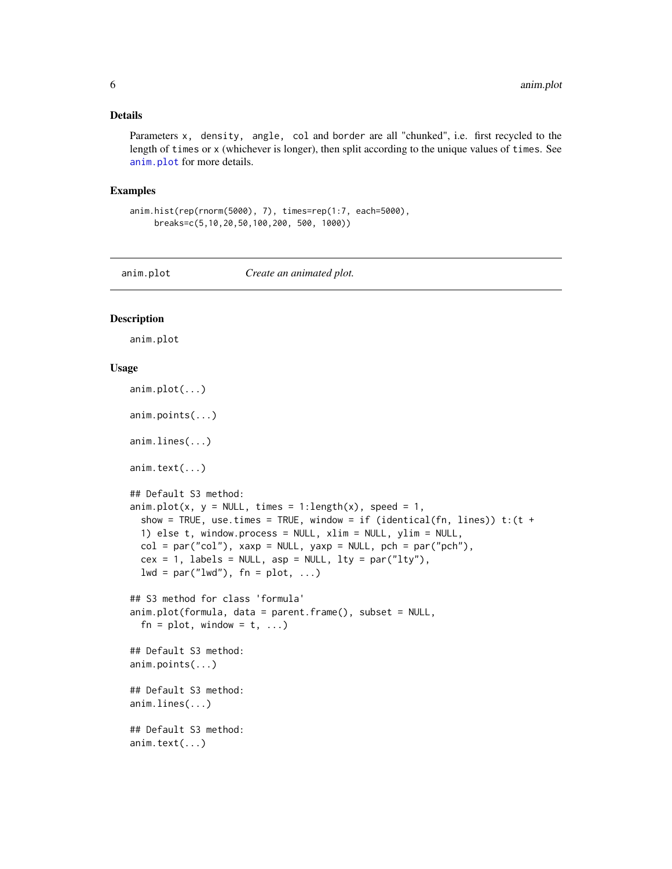#### <span id="page-5-0"></span>Details

Parameters x, density, angle, col and border are all "chunked", i.e. first recycled to the length of times or x (whichever is longer), then split according to the unique values of times. See [anim.plot](#page-5-1) for more details.

#### Examples

```
anim.hist(rep(rnorm(5000), 7), times=rep(1:7, each=5000),
     breaks=c(5,10,20,50,100,200, 500, 1000))
```
<span id="page-5-1"></span>

anim.plot *Create an animated plot.*

# <span id="page-5-2"></span>Description

anim.plot

```
anim.plot(...)
anim.points(...)
anim.lines(...)
anim.text(...)
## Default S3 method:
anim.plot(x, y = NULL, times = 1:length(x), speed = 1,
  show = TRUE, use.times = TRUE, window = if (identical(fn, lines)) t:(t +1) else t, window.process = NULL, xlim = NULL, ylim = NULL,
  col = par("col"), xaxp = NULL, yaxp = NULL, pch = par("pch"),cex = 1, labels = NULL, asp = NULL, lty = par("lty"),
  1wd = par("1wd"), fn = plot, ...)## S3 method for class 'formula'
anim.plot(formula, data = parent.frame(), subset = NULL,
  fn = plot, window = t, ...)## Default S3 method:
anim.points(...)
## Default S3 method:
anim.lines(...)
## Default S3 method:
anim.text(...)
```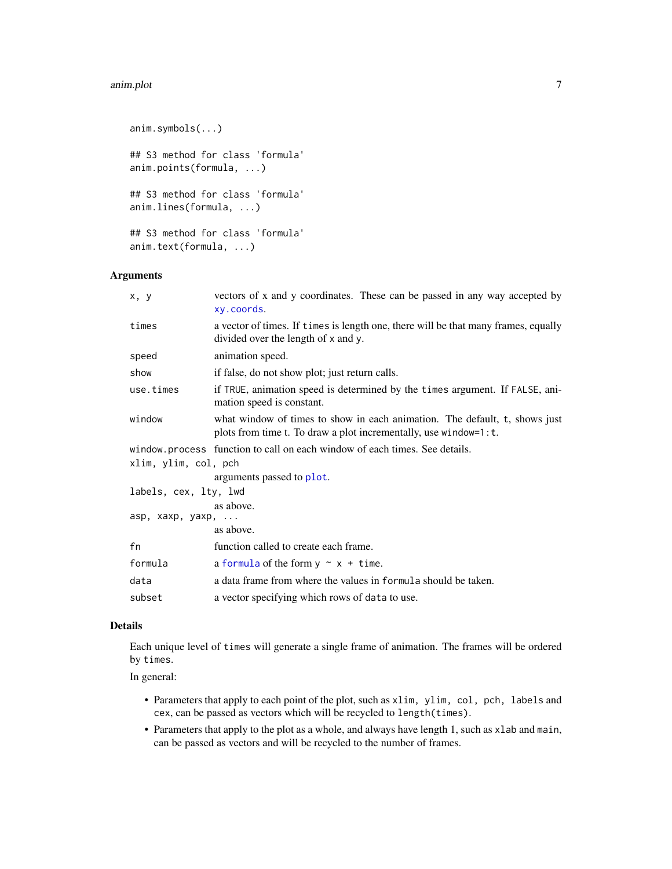#### <span id="page-6-0"></span>anim.plot 7 anim.plot 7 anim.plot 7 anim.plot 7 anim.plot 7 anim.plot 7 anim.plot 7 anim.plot 7 anim.plot 7 anim.plot 7 anim.plot 7 anim.plot 7 anim.plot 7 anim.plot 7 anim.plot 7 anim.plot 7 anim.plot 7 anim.plot 7 anim.p

```
anim.symbols(...)
## S3 method for class 'formula'
anim.points(formula, ...)
## S3 method for class 'formula'
anim.lines(formula, ...)
## S3 method for class 'formula'
anim.text(formula, ...)
```
# Arguments

| x, y                  | vectors of x and y coordinates. These can be passed in any way accepted by<br>xy.coords.                                                       |
|-----------------------|------------------------------------------------------------------------------------------------------------------------------------------------|
| times                 | a vector of times. If times is length one, there will be that many frames, equally<br>divided over the length of x and y.                      |
| speed                 | animation speed.                                                                                                                               |
| show                  | if false, do not show plot; just return calls.                                                                                                 |
| use.times             | if TRUE, animation speed is determined by the times argument. If FALSE, ani-<br>mation speed is constant.                                      |
| window                | what window of times to show in each animation. The default, t, shows just<br>plots from time t. To draw a plot incrementally, use window=1:t. |
|                       | window process function to call on each window of each times. See details.                                                                     |
| xlim, ylim, col, pch  |                                                                                                                                                |
|                       | arguments passed to plot.                                                                                                                      |
| labels, cex, lty, lwd |                                                                                                                                                |
|                       | as above.                                                                                                                                      |
| asp, xaxp, yaxp,      |                                                                                                                                                |
|                       | as above.                                                                                                                                      |
| fn                    | function called to create each frame.                                                                                                          |
| formula               | a formula of the form $y \sim x + t$ ime.                                                                                                      |
| data                  | a data frame from where the values in formula should be taken.                                                                                 |
| subset                | a vector specifying which rows of data to use.                                                                                                 |
|                       |                                                                                                                                                |

#### Details

Each unique level of times will generate a single frame of animation. The frames will be ordered by times.

In general:

- Parameters that apply to each point of the plot, such as xlim, ylim, col, pch, labels and cex, can be passed as vectors which will be recycled to length(times).
- Parameters that apply to the plot as a whole, and always have length 1, such as xlab and main, can be passed as vectors and will be recycled to the number of frames.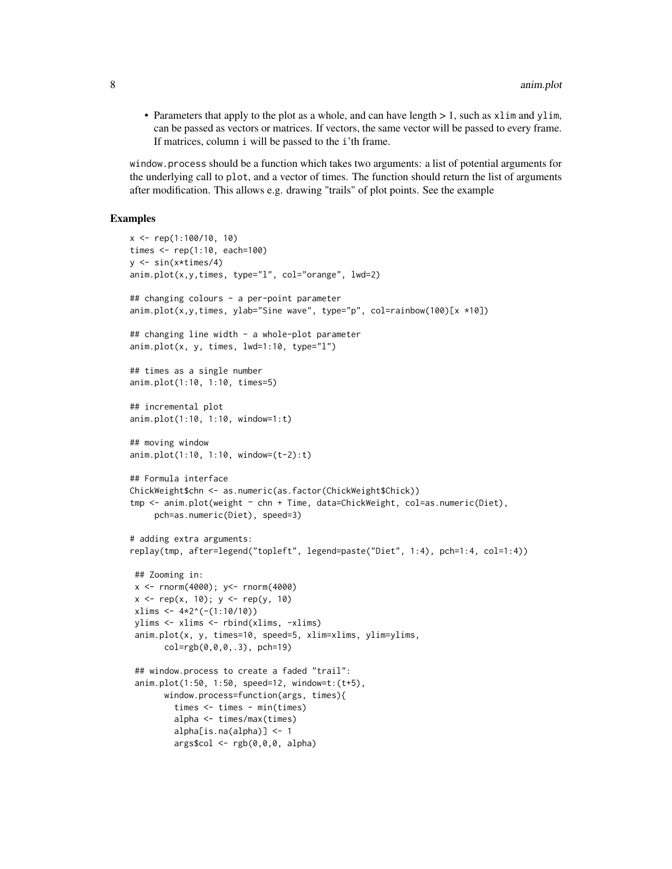• Parameters that apply to the plot as a whole, and can have length  $> 1$ , such as xlim and ylim, can be passed as vectors or matrices. If vectors, the same vector will be passed to every frame. If matrices, column i will be passed to the i'th frame.

window.process should be a function which takes two arguments: a list of potential arguments for the underlying call to plot, and a vector of times. The function should return the list of arguments after modification. This allows e.g. drawing "trails" of plot points. See the example

# Examples

```
x <- rep(1:100/10, 10)
times \le rep(1:10, each=100)
y \le -\sin(x \times \text{times}/4)anim.plot(x,y,times, type="l", col="orange", lwd=2)
## changing colours - a per-point parameter
anim.plot(x,y,times, ylab="Sine wave", type="p", col=rainbow(100)[x *10])
## changing line width - a whole-plot parameter
anim.plot(x, y, times, lwd=1:10, type="l")
## times as a single number
anim.plot(1:10, 1:10, times=5)
## incremental plot
anim.plot(1:10, 1:10, window=1:t)
## moving window
anim.plot(1:10, 1:10, window=(t-2):t)
## Formula interface
ChickWeight$chn <- as.numeric(as.factor(ChickWeight$Chick))
tmp <- anim.plot(weight ~ chn + Time, data=ChickWeight, col=as.numeric(Diet),
     pch=as.numeric(Diet), speed=3)
# adding extra arguments:
replay(tmp, after=legend("topleft", legend=paste("Diet", 1:4), pch=1:4, col=1:4))
 ## Zooming in:
 x <- rnorm(4000); y<- rnorm(4000)
 x \leq -\text{rep}(x, 10); y \leq -\text{rep}(y, 10)xlims < -4*2^(-(1:10/10))ylims <- xlims <- rbind(xlims, -xlims)
 anim.plot(x, y, times=10, speed=5, xlim=xlims, ylim=ylims,
       col=rgb(0,0,0,.3), pch=19)
 ## window.process to create a faded "trail":
 anim.plot(1:50, 1:50, speed=12, window=t:(t+5),
       window.process=function(args, times){
         times <- times - min(times)
         alpha <- times/max(times)
         alpha[is.na(alpha)] <- 1
         args$col <- rgb(0,0,0, alpha)
```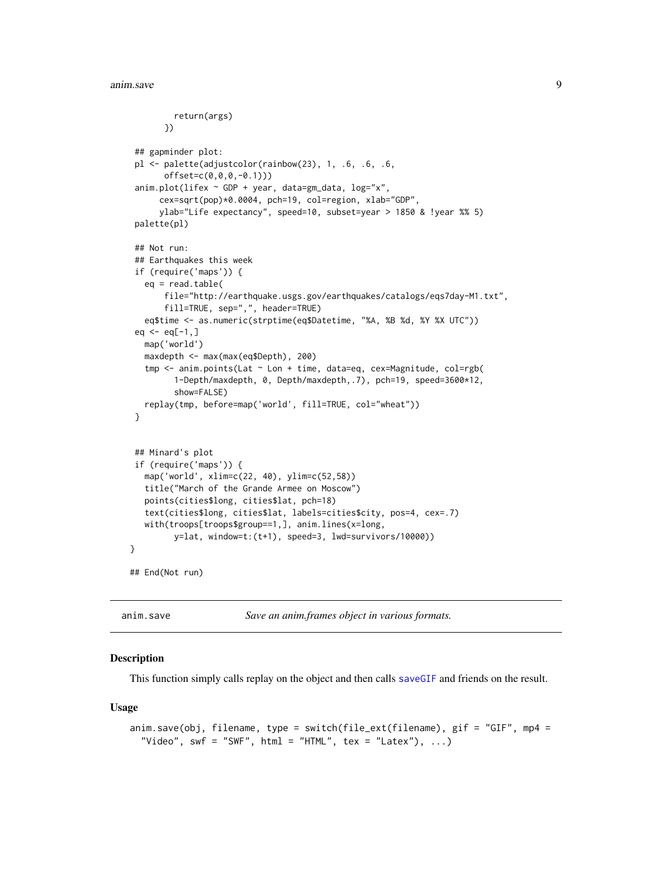```
return(args)
       })
 ## gapminder plot:
 pl <- palette(adjustcolor(rainbow(23), 1, .6, .6, .6,
       offset=c(0,0,0,-0.1)))
 \text{anim.plot}(\text{lifex} \sim \text{GDP} + \text{year}, \text{data=gm_data}, \text{log=}''x",cex=sqrt(pop)*0.0004, pch=19, col=region, xlab="GDP",
      ylab="Life expectancy", speed=10, subset=year > 1850 & !year %% 5)
 palette(pl)
 ## Not run:
 ## Earthquakes this week
 if (require('maps')) {
  eq = read_table(file="http://earthquake.usgs.gov/earthquakes/catalogs/eqs7day-M1.txt",
       fill=TRUE, sep=",", header=TRUE)
  eq$time <- as.numeric(strptime(eq$Datetime, "%A, %B %d, %Y %X UTC"))
 eq < -eq[-1, ]map('world')
  maxdepth <- max(max(eq$Depth), 200)
   tmp <- anim.points(Lat ~ Lon + time, data=eq, cex=Magnitude, col=rgb(
         1-Depth/maxdepth, 0, Depth/maxdepth,.7), pch=19, speed=3600*12,
         show=FALSE)
  replay(tmp, before=map('world', fill=TRUE, col="wheat"))
 }
 ## Minard's plot
 if (require('maps')) {
  map('world', xlim=c(22, 40), ylim=c(52,58))
  title("March of the Grande Armee on Moscow")
  points(cities$long, cities$lat, pch=18)
  text(cities$long, cities$lat, labels=cities$city, pos=4, cex=.7)
  with(troops[troops$group==1,], anim.lines(x=long,
         y=lat, window=t:(t+1), speed=3, lwd=survivors/10000))
}
## End(Not run)
```
anim.save *Save an anim.frames object in various formats.*

#### Description

This function simply calls replay on the object and then calls [saveGIF](#page-0-0) and friends on the result.

```
anim.save(obj, filename, type = switch(file_ext(filename), gif = "GIF", mp4 =
  "Video", swf = "SWF", html = "HTML", tex = "Latex"), \ldots)
```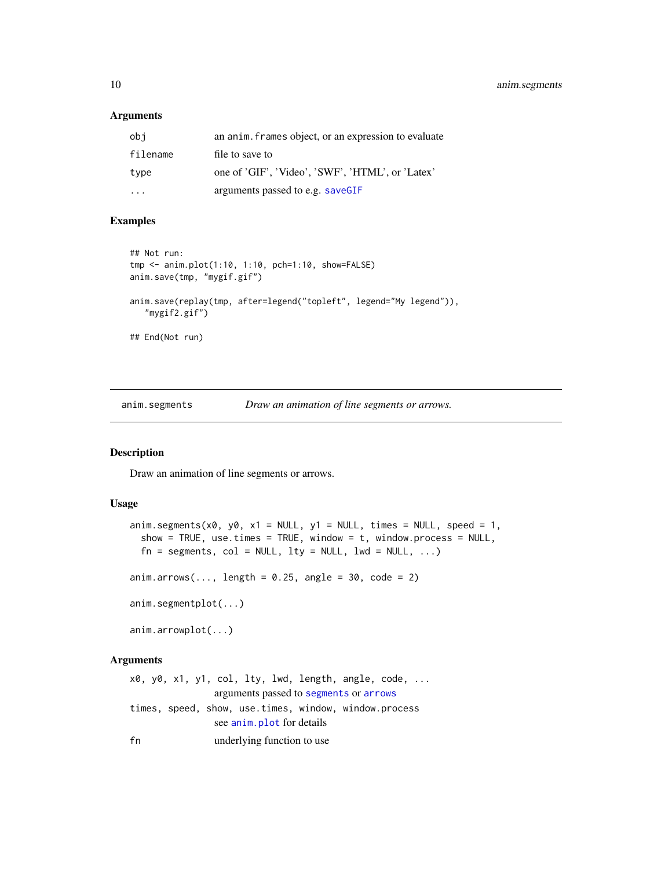<span id="page-9-0"></span>10 anim.segments

#### Arguments

| obi                     | an anim. frames object, or an expression to evaluate |
|-------------------------|------------------------------------------------------|
| filename                | file to save to                                      |
| type                    | one of 'GIF', 'Video', 'SWF', 'HTML', or 'Latex'     |
| $\cdot$ $\cdot$ $\cdot$ | arguments passed to e.g. saveGIF                     |

#### Examples

```
## Not run:
tmp <- anim.plot(1:10, 1:10, pch=1:10, show=FALSE)
anim.save(tmp, "mygif.gif")
anim.save(replay(tmp, after=legend("topleft", legend="My legend")),
   "mygif2.gif")
## End(Not run)
```
anim.segments *Draw an animation of line segments or arrows.*

# Description

Draw an animation of line segments or arrows.

#### Usage

```
anim.segments(x0, y0, x1 = NULL, y1 = NULL, times = NULL, speed = 1,
 show = TRUE, use.times = TRUE, window = t, window.process = NULL,
 fn = segments, col = NULL, lty = NULL, lwd = NULL, ...)anim.arrows(..., length = 0.25, angle = 30, code = 2)
anim.segmentplot(...)
anim.arrowplot(...)
```
# Arguments

x0, y0, x1, y1, col, lty, lwd, [length, an](#page-0-0)g[le, cod](#page-0-0)e, ... arguments passed to segments or arrows times, speed, show[, use.time](#page-5-1)s, window, window.process see anim.plot for details fn underlying function to use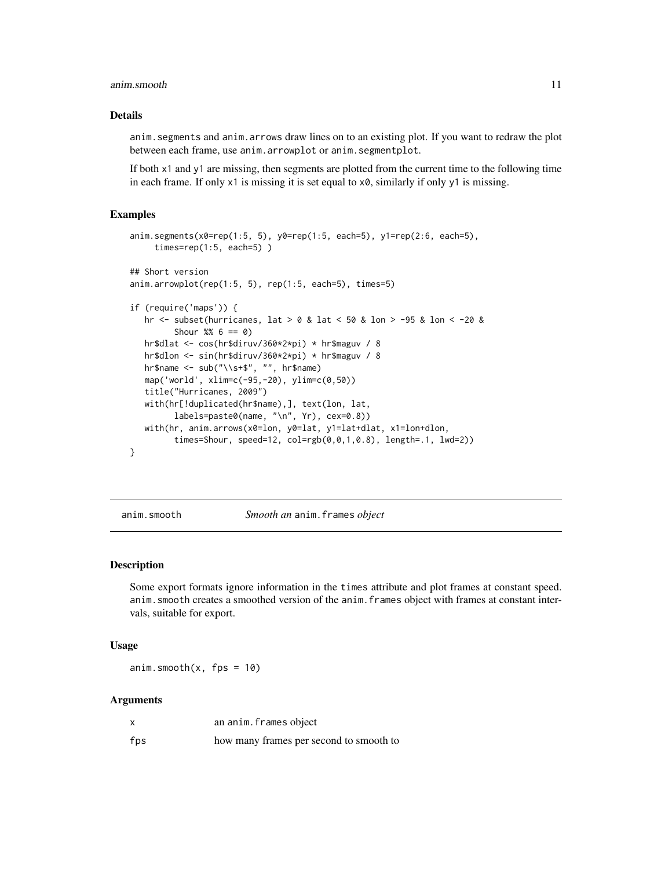#### <span id="page-10-0"></span>anim.smooth 11

# Details

anim.segments and anim.arrows draw lines on to an existing plot. If you want to redraw the plot between each frame, use anim.arrowplot or anim.segmentplot.

If both x1 and y1 are missing, then segments are plotted from the current time to the following time in each frame. If only  $x1$  is missing it is set equal to  $x0$ , similarly if only  $y1$  is missing.

#### Examples

```
anim.segments(x0=rep(1:5, 5), y0=rep(1:5, each=5), y1=rep(2:6, each=5),
     times=rep(1:5, each=5) )
## Short version
anim.arrowplot(rep(1:5, 5), rep(1:5, each=5), times=5)
if (require('maps')) {
  hr <- subset(hurricanes, lat > 0 & lat < 50 & lon > -95 & lon < -20 &
         Shour %6 == 0)
  hr$dlat <- cos(hr$diruv/360*2*pi) * hr$maguv / 8
  hr$dlon <- sin(hr$diruv/360*2*pi) * hr$maguv / 8
  hr$name \leq -\frac{\text{sub("}\smp*}\text{," " " , hrfname)}map('world', xlim=c(-95,-20), ylim=c(0,50))
  title("Hurricanes, 2009")
  with(hr[!duplicated(hr$name),], text(lon, lat,
         labels=paste0(name, "\n", Yr), cex=0.8))
  with(hr, anim.arrows(x0=lon, y0=lat, y1=lat+dlat, x1=lon+dlon,
         times=Shour, speed=12, col=rgb(0,0,1,0.8), length=.1, lwd=2))
}
```
anim.smooth *Smooth an* anim.frames *object*

#### Description

Some export formats ignore information in the times attribute and plot frames at constant speed. anim.smooth creates a smoothed version of the anim.frames object with frames at constant intervals, suitable for export.

#### Usage

anim.smooth $(x, fps = 10)$ 

#### Arguments

|     | an anim. frames object                  |
|-----|-----------------------------------------|
| fps | how many frames per second to smooth to |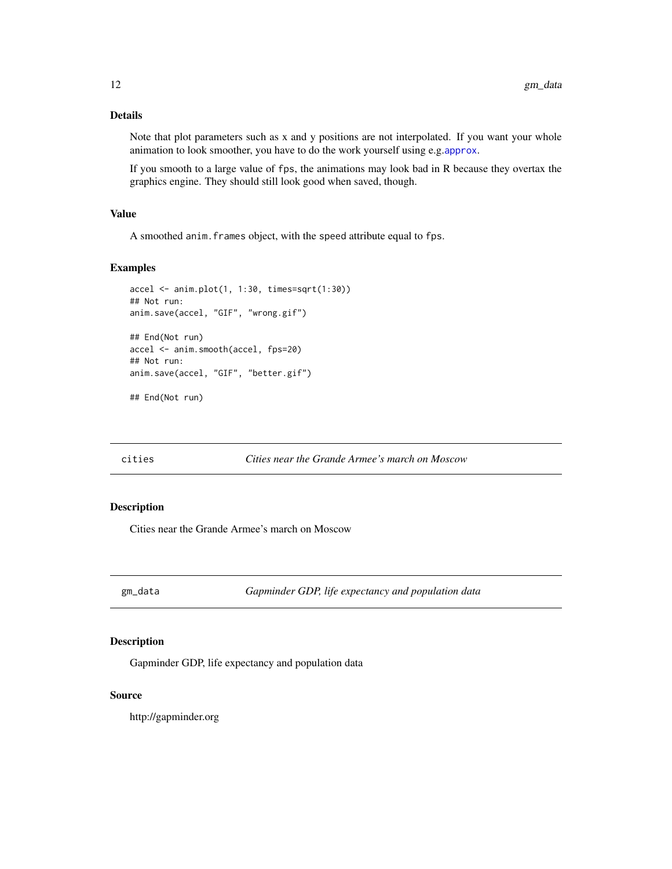# <span id="page-11-0"></span>Details

Note that plot parameters such as x and y positions are not interpolated. If you want your whole animation to look smoother, you have to do the work yourself using e.g.[approx](#page-0-0).

If you smooth to a large value of fps, the animations may look bad in R because they overtax the graphics engine. They should still look good when saved, though.

#### Value

A smoothed anim.frames object, with the speed attribute equal to fps.

# Examples

```
accel <- anim.plot(1, 1:30, times=sqrt(1:30))
## Not run:
anim.save(accel, "GIF", "wrong.gif")
## End(Not run)
accel <- anim.smooth(accel, fps=20)
## Not run:
anim.save(accel, "GIF", "better.gif")
```
## End(Not run)

cities *Cities near the Grande Armee's march on Moscow*

# Description

Cities near the Grande Armee's march on Moscow

gm\_data *Gapminder GDP, life expectancy and population data*

# Description

Gapminder GDP, life expectancy and population data

#### Source

http://gapminder.org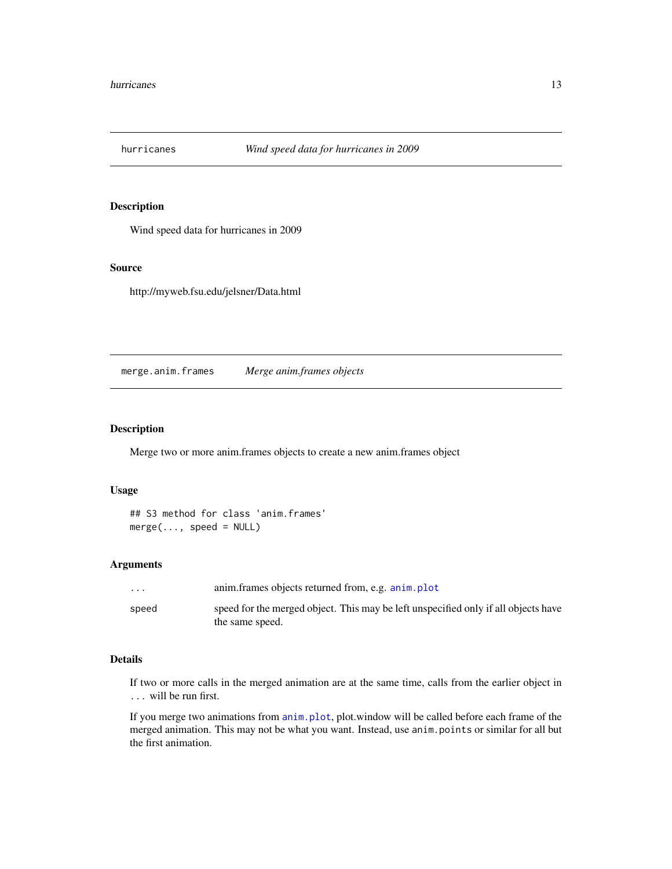<span id="page-12-0"></span>

# Description

Wind speed data for hurricanes in 2009

# Source

http://myweb.fsu.edu/jelsner/Data.html

merge.anim.frames *Merge anim.frames objects*

# Description

Merge two or more anim.frames objects to create a new anim.frames object

# Usage

```
## S3 method for class 'anim.frames'
merge(\ldots, speed = NULL)
```
#### Arguments

| $\cdots$ | anim. frames objects returned from, e.g. anim. plot                                                   |
|----------|-------------------------------------------------------------------------------------------------------|
| speed    | speed for the merged object. This may be left unspecified only if all objects have<br>the same speed. |

# Details

If two or more calls in the merged animation are at the same time, calls from the earlier object in ... will be run first.

If you merge two animations from [anim.plot](#page-5-1), plot.window will be called before each frame of the merged animation. This may not be what you want. Instead, use anim.points or similar for all but the first animation.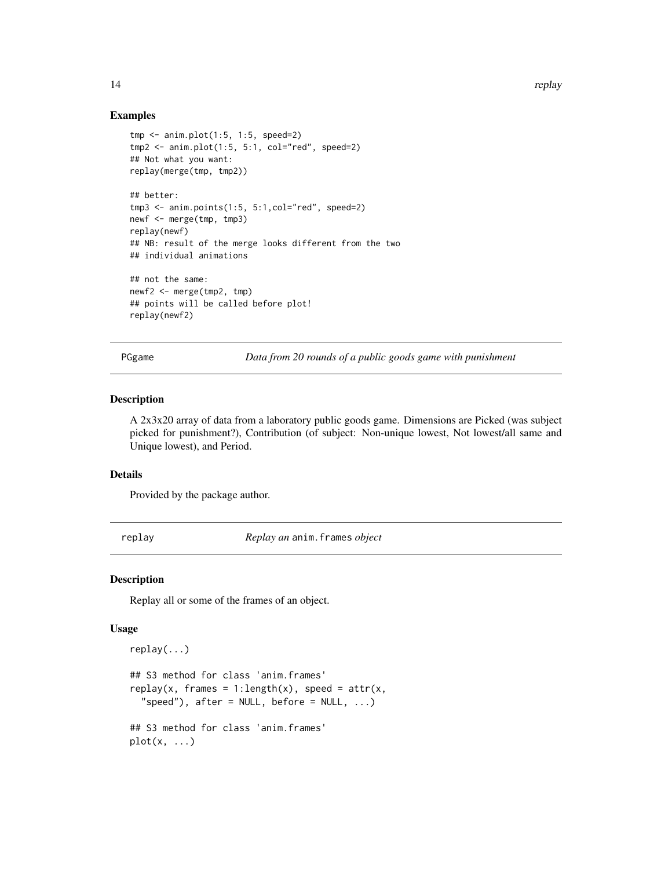14 replay

### Examples

```
tmp < -\text{anim.plot}(1:5, 1:5, speed=2)tmp2 < -\n  <i>anim.plot(1:5, 5:1, col='red", speed=2)</i>## Not what you want:
replay(merge(tmp, tmp2))
## better:
tmp3 <- anim.points(1:5, 5:1,col="red", speed=2)
newf <- merge(tmp, tmp3)
replay(newf)
## NB: result of the merge looks different from the two
## individual animations
## not the same:
newf2 <- merge(tmp2, tmp)
## points will be called before plot!
replay(newf2)
```
PGgame *Data from 20 rounds of a public goods game with punishment*

#### Description

A 2x3x20 array of data from a laboratory public goods game. Dimensions are Picked (was subject picked for punishment?), Contribution (of subject: Non-unique lowest, Not lowest/all same and Unique lowest), and Period.

#### Details

Provided by the package author.

replay *Replay an* anim.frames *object*

# Description

Replay all or some of the frames of an object.

```
replay(...)
## S3 method for class 'anim.frames'
replay(x, frames = 1:length(x), speed = attr(x,"speed"), after = NULL, before = NULL, ...)## S3 method for class 'anim.frames'
plot(x, \ldots)
```
<span id="page-13-0"></span>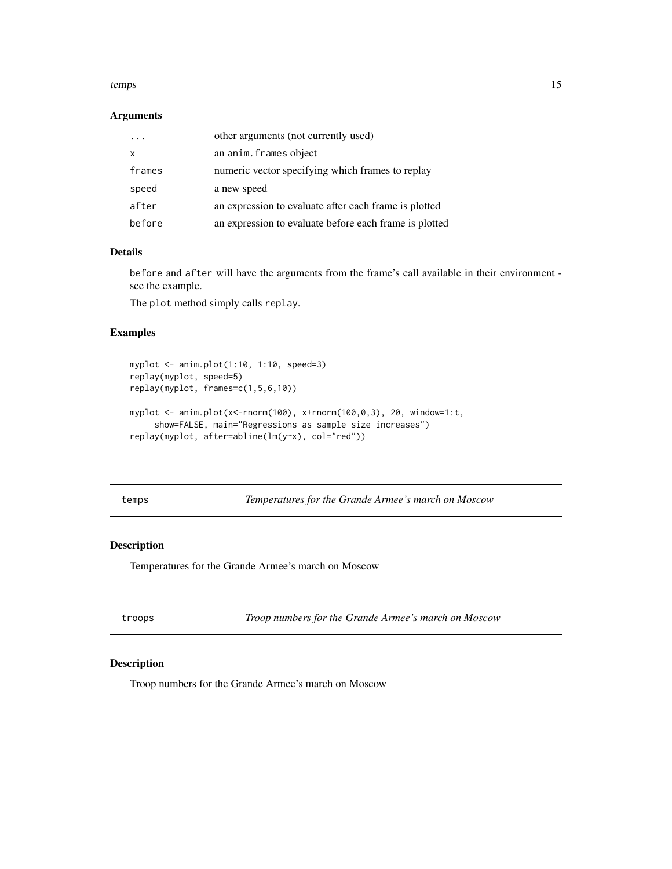#### <span id="page-14-0"></span>temps and the state of the state of the state of the state of the state of the state of the state of the state of the state of the state of the state of the state of the state of the state of the state of the state of the

# Arguments

|        | other arguments (not currently used)                   |
|--------|--------------------------------------------------------|
| X      | an anim. frames object                                 |
| frames | numeric vector specifying which frames to replay       |
| speed  | a new speed                                            |
| after  | an expression to evaluate after each frame is plotted  |
| before | an expression to evaluate before each frame is plotted |

# Details

before and after will have the arguments from the frame's call available in their environment see the example.

The plot method simply calls replay.

# Examples

```
myplot <- anim.plot(1:10, 1:10, speed=3)
replay(myplot, speed=5)
replay(myplot, frames=c(1,5,6,10))
myplot <- anim.plot(x<-rnorm(100), x+rnorm(100,0,3), 20, window=1:t,
     show=FALSE, main="Regressions as sample size increases")
replay(myplot, after=abline(lm(y~x), col="red"))
```
temps *Temperatures for the Grande Armee's march on Moscow*

#### Description

Temperatures for the Grande Armee's march on Moscow

troops *Troop numbers for the Grande Armee's march on Moscow*

# Description

Troop numbers for the Grande Armee's march on Moscow